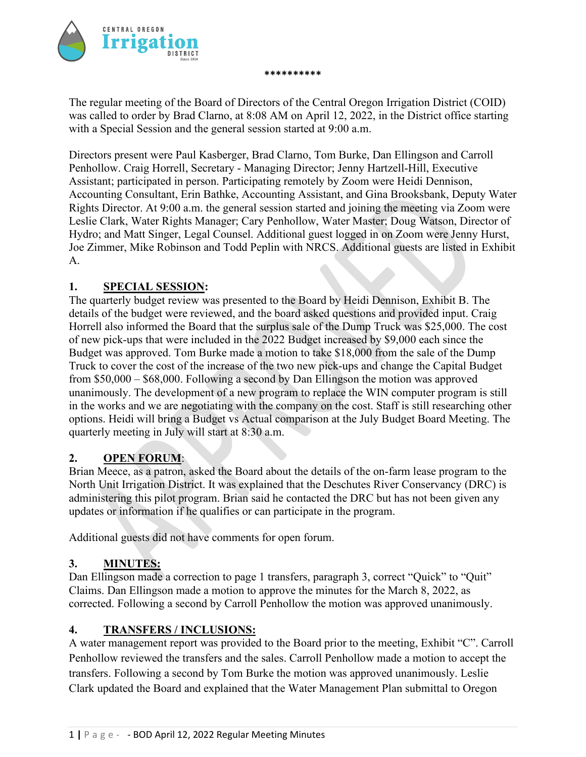

The regular meeting of the Board of Directors of the Central Oregon Irrigation District (COID) was called to order by Brad Clarno, at 8:08 AM on April 12, 2022, in the District office starting with a Special Session and the general session started at 9:00 a.m.

**\*\*\*\*\*\*\*\*\*\***

Directors present were Paul Kasberger, Brad Clarno, Tom Burke, Dan Ellingson and Carroll Penhollow. Craig Horrell, Secretary - Managing Director; Jenny Hartzell-Hill, Executive Assistant; participated in person. Participating remotely by Zoom were Heidi Dennison, Accounting Consultant, Erin Bathke, Accounting Assistant, and Gina Brooksbank, Deputy Water Rights Director. At 9:00 a.m. the general session started and joining the meeting via Zoom were Leslie Clark, Water Rights Manager; Cary Penhollow, Water Master; Doug Watson, Director of Hydro; and Matt Singer, Legal Counsel. Additional guest logged in on Zoom were Jenny Hurst, Joe Zimmer, Mike Robinson and Todd Peplin with NRCS. Additional guests are listed in Exhibit A.

# **1. SPECIAL SESSION:**

The quarterly budget review was presented to the Board by Heidi Dennison, Exhibit B. The details of the budget were reviewed, and the board asked questions and provided input. Craig Horrell also informed the Board that the surplus sale of the Dump Truck was \$25,000. The cost of new pick-ups that were included in the 2022 Budget increased by \$9,000 each since the Budget was approved. Tom Burke made a motion to take \$18,000 from the sale of the Dump Truck to cover the cost of the increase of the two new pick-ups and change the Capital Budget from \$50,000 – \$68,000. Following a second by Dan Ellingson the motion was approved unanimously. The development of a new program to replace the WIN computer program is still in the works and we are negotiating with the company on the cost. Staff is still researching other options. Heidi will bring a Budget vs Actual comparison at the July Budget Board Meeting. The quarterly meeting in July will start at 8:30 a.m.

# **2. OPEN FORUM**:

Brian Meece, as a patron, asked the Board about the details of the on-farm lease program to the North Unit Irrigation District. It was explained that the Deschutes River Conservancy (DRC) is administering this pilot program. Brian said he contacted the DRC but has not been given any updates or information if he qualifies or can participate in the program.

Additional guests did not have comments for open forum.

#### **3. MINUTES:**

Dan Ellingson made a correction to page 1 transfers, paragraph 3, correct "Quick" to "Quit" Claims. Dan Ellingson made a motion to approve the minutes for the March 8, 2022, as corrected. Following a second by Carroll Penhollow the motion was approved unanimously.

#### **4. TRANSFERS / INCLUSIONS:**

A water management report was provided to the Board prior to the meeting, Exhibit "C". Carroll Penhollow reviewed the transfers and the sales. Carroll Penhollow made a motion to accept the transfers. Following a second by Tom Burke the motion was approved unanimously. Leslie Clark updated the Board and explained that the Water Management Plan submittal to Oregon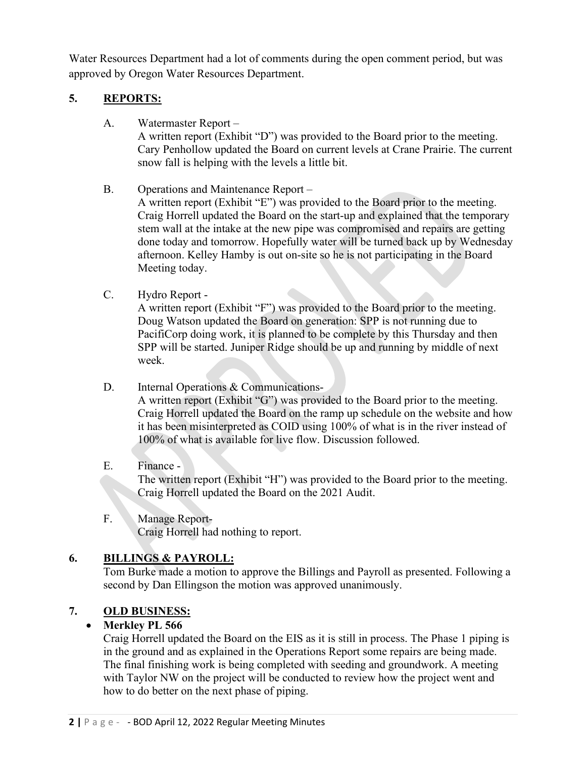Water Resources Department had a lot of comments during the open comment period, but was approved by Oregon Water Resources Department.

# **5. REPORTS:**

A. Watermaster Report –

A written report (Exhibit "D") was provided to the Board prior to the meeting. Cary Penhollow updated the Board on current levels at Crane Prairie. The current snow fall is helping with the levels a little bit.

B. Operations and Maintenance Report –

A written report (Exhibit "E") was provided to the Board prior to the meeting. Craig Horrell updated the Board on the start-up and explained that the temporary stem wall at the intake at the new pipe was compromised and repairs are getting done today and tomorrow. Hopefully water will be turned back up by Wednesday afternoon. Kelley Hamby is out on-site so he is not participating in the Board Meeting today.

C. Hydro Report -

A written report (Exhibit "F") was provided to the Board prior to the meeting. Doug Watson updated the Board on generation: SPP is not running due to PacifiCorp doing work, it is planned to be complete by this Thursday and then SPP will be started. Juniper Ridge should be up and running by middle of next week.

D. Internal Operations & Communications-

A written report (Exhibit "G") was provided to the Board prior to the meeting. Craig Horrell updated the Board on the ramp up schedule on the website and how it has been misinterpreted as COID using 100% of what is in the river instead of 100% of what is available for live flow. Discussion followed.

# E. Finance -

The written report (Exhibit "H") was provided to the Board prior to the meeting. Craig Horrell updated the Board on the 2021 Audit.

F. Manage Report-Craig Horrell had nothing to report.

# **6. BILLINGS & PAYROLL:**

Tom Burke made a motion to approve the Billings and Payroll as presented. Following a second by Dan Ellingson the motion was approved unanimously.

# **7. OLD BUSINESS:**

# • **Merkley PL 566**

Craig Horrell updated the Board on the EIS as it is still in process. The Phase 1 piping is in the ground and as explained in the Operations Report some repairs are being made. The final finishing work is being completed with seeding and groundwork. A meeting with Taylor NW on the project will be conducted to review how the project went and how to do better on the next phase of piping.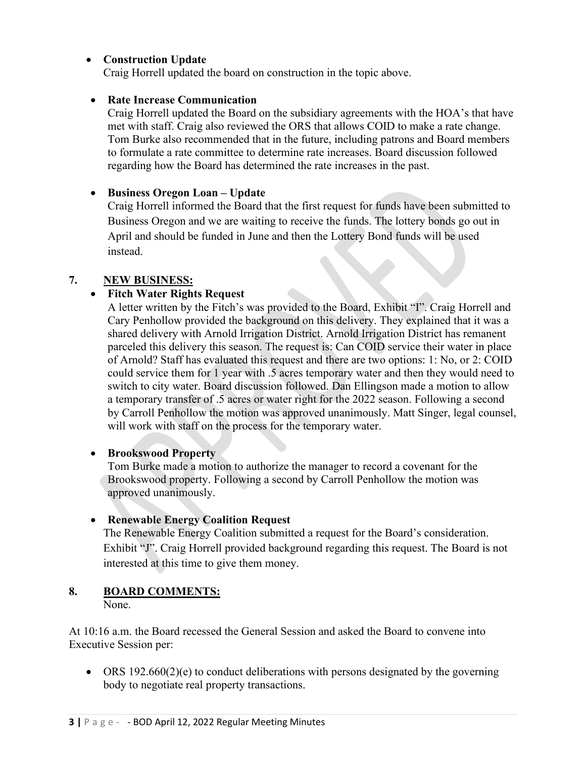# • **Construction Update**

Craig Horrell updated the board on construction in the topic above.

#### • **Rate Increase Communication**

Craig Horrell updated the Board on the subsidiary agreements with the HOA's that have met with staff. Craig also reviewed the ORS that allows COID to make a rate change. Tom Burke also recommended that in the future, including patrons and Board members to formulate a rate committee to determine rate increases. Board discussion followed regarding how the Board has determined the rate increases in the past.

### • **Business Oregon Loan – Update**

Craig Horrell informed the Board that the first request for funds have been submitted to Business Oregon and we are waiting to receive the funds. The lottery bonds go out in April and should be funded in June and then the Lottery Bond funds will be used instead.

### **7. NEW BUSINESS:**

### • **Fitch Water Rights Request**

A letter written by the Fitch's was provided to the Board, Exhibit "I". Craig Horrell and Cary Penhollow provided the background on this delivery. They explained that it was a shared delivery with Arnold Irrigation District. Arnold Irrigation District has remanent parceled this delivery this season. The request is: Can COID service their water in place of Arnold? Staff has evaluated this request and there are two options: 1: No, or 2: COID could service them for 1 year with .5 acres temporary water and then they would need to switch to city water. Board discussion followed. Dan Ellingson made a motion to allow a temporary transfer of .5 acres or water right for the 2022 season. Following a second by Carroll Penhollow the motion was approved unanimously. Matt Singer, legal counsel, will work with staff on the process for the temporary water.

#### • **Brookswood Property**

Tom Burke made a motion to authorize the manager to record a covenant for the Brookswood property. Following a second by Carroll Penhollow the motion was approved unanimously.

#### • **Renewable Energy Coalition Request**

The Renewable Energy Coalition submitted a request for the Board's consideration. Exhibit "J". Craig Horrell provided background regarding this request. The Board is not interested at this time to give them money.

# **8. BOARD COMMENTS:**

None.

At 10:16 a.m. the Board recessed the General Session and asked the Board to convene into Executive Session per:

• ORS 192.660(2)(e) to conduct deliberations with persons designated by the governing body to negotiate real property transactions.